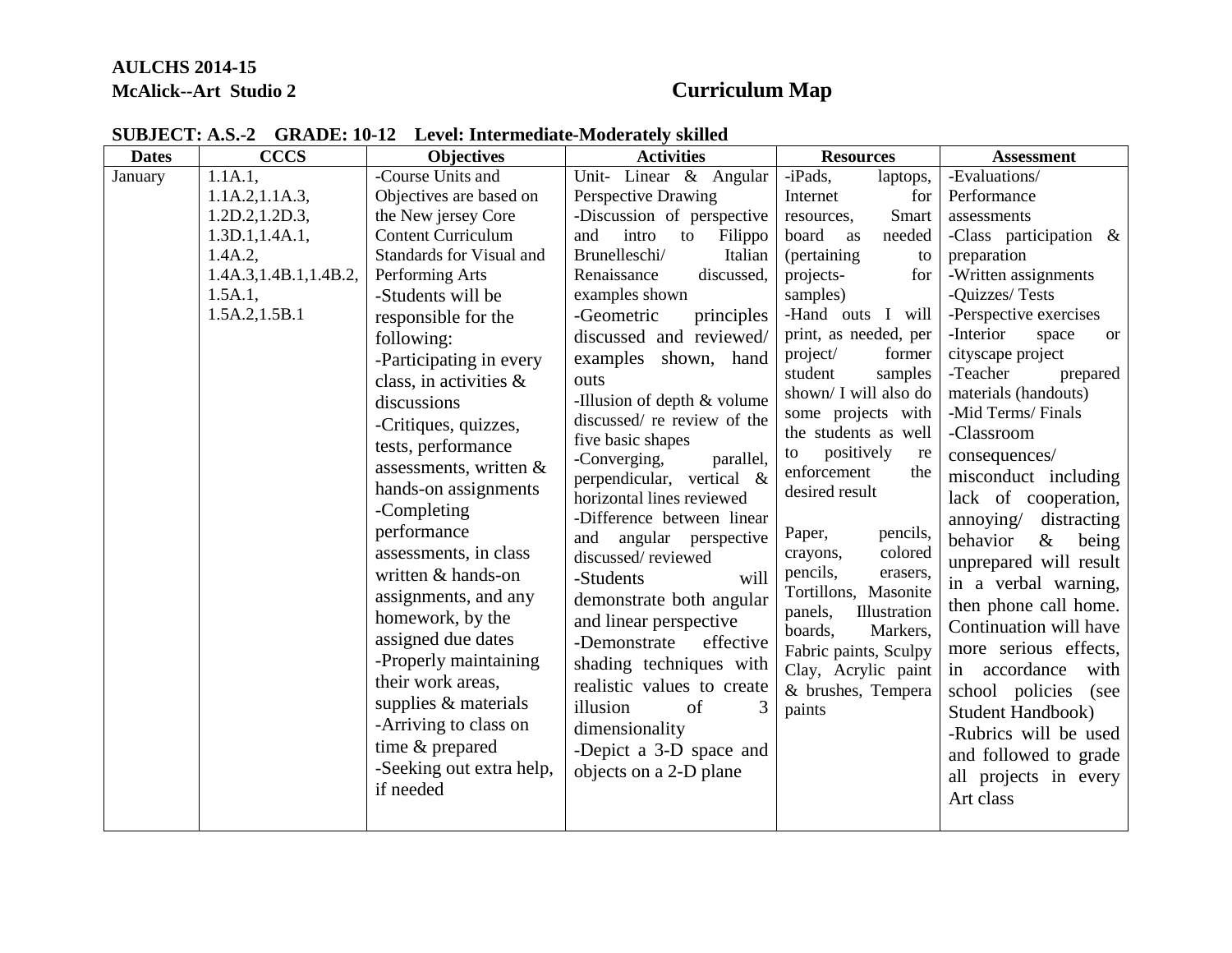## **AULCHS 2014-15 McAlick--Art Studio 2 Curriculum Map**

| <b>Dates</b> | <b>CCCS</b>             | <b>Objectives</b>         | <b>Activities</b>             | <b>Resources</b>                      | <b>Assessment</b>                   |
|--------------|-------------------------|---------------------------|-------------------------------|---------------------------------------|-------------------------------------|
| January      | 1.1A.1,                 | -Course Units and         | Unit- Linear & Angular        | -iPads,<br>laptops,                   | -Evaluations/                       |
|              | 1.1A.2, 1.1A.3,         | Objectives are based on   | Perspective Drawing           | Internet<br>for                       | Performance                         |
|              | 1.2D.2, 1.2D.3,         | the New jersey Core       | -Discussion of perspective    | Smart<br>resources,                   | assessments                         |
|              | 1.3D.1, 1.4A.1,         | <b>Content Curriculum</b> | and<br>intro<br>Filippo<br>to | board as<br>needed                    | -Class participation $\&$           |
|              | 1.4A.2,                 | Standards for Visual and  | Brunelleschi/<br>Italian      | (pertaining)<br>to                    | preparation                         |
|              | 1.4A.3, 1.4B.1, 1.4B.2, | Performing Arts           | Renaissance<br>discussed,     | projects-<br>for                      | -Written assignments                |
|              | 1.5A.1,                 | -Students will be         | examples shown                | samples)                              | -Quizzes/Tests                      |
|              | 1.5A.2,1.5B.1           | responsible for the       | -Geometric<br>principles      | -Hand outs I will                     | -Perspective exercises              |
|              |                         | following:                | discussed and reviewed/       | print, as needed, per                 | -Interior<br>space<br><sub>or</sub> |
|              |                         | -Participating in every   | examples shown, hand          | project/<br>former                    | cityscape project                   |
|              |                         | class, in activities &    | outs                          | student<br>samples                    | -Teacher<br>prepared                |
|              |                         | discussions               | -Illusion of depth & volume   | shown/ I will also do                 | materials (handouts)                |
|              |                         | -Critiques, quizzes,      | discussed/ re review of the   | some projects with                    | -Mid Terms/Finals                   |
|              |                         | tests, performance        | five basic shapes             | the students as well                  | -Classroom                          |
|              |                         | assessments, written &    | -Converging,<br>parallel,     | positively<br>to<br>re<br>enforcement | consequences/                       |
|              |                         | hands-on assignments      | perpendicular, vertical &     | the<br>desired result                 | misconduct including                |
|              |                         | -Completing               | horizontal lines reviewed     |                                       | lack of cooperation,                |
|              |                         | performance               | -Difference between linear    |                                       | annoying/ distracting               |
|              |                         | assessments, in class     | angular perspective<br>and    | Paper,<br>pencils,<br>colored         | behavior<br>$\&$<br>being           |
|              |                         |                           | discussed/reviewed            | crayons,<br>pencils,<br>erasers,      | unprepared will result              |
|              |                         | written & hands-on        | -Students<br>will             | Tortillons, Masonite                  | in a verbal warning,                |
|              |                         | assignments, and any      | demonstrate both angular      | Illustration<br>panels,               | then phone call home.               |
|              |                         | homework, by the          | and linear perspective        | boards,<br>Markers,                   | Continuation will have              |
|              |                         | assigned due dates        | -Demonstrate<br>effective     | Fabric paints, Sculpy                 | more serious effects,               |
|              |                         | -Properly maintaining     | shading techniques with       | Clay, Acrylic paint                   | in accordance<br>with               |
|              |                         | their work areas,         | realistic values to create    | & brushes, Tempera                    | school policies (see                |
|              |                         | supplies & materials      | illusion<br>3<br>of           | paints                                | <b>Student Handbook</b> )           |
|              |                         | -Arriving to class on     | dimensionality                |                                       | -Rubrics will be used               |
|              |                         | time & prepared           | -Depict a 3-D space and       |                                       |                                     |
|              |                         | -Seeking out extra help,  | objects on a 2-D plane        |                                       | and followed to grade               |
|              |                         | if needed                 |                               |                                       | all projects in every               |
|              |                         |                           |                               |                                       | Art class                           |
|              |                         |                           |                               |                                       |                                     |

## **SUBJECT: A.S.-2 GRADE: 10-12 Level: Intermediate-Moderately skilled**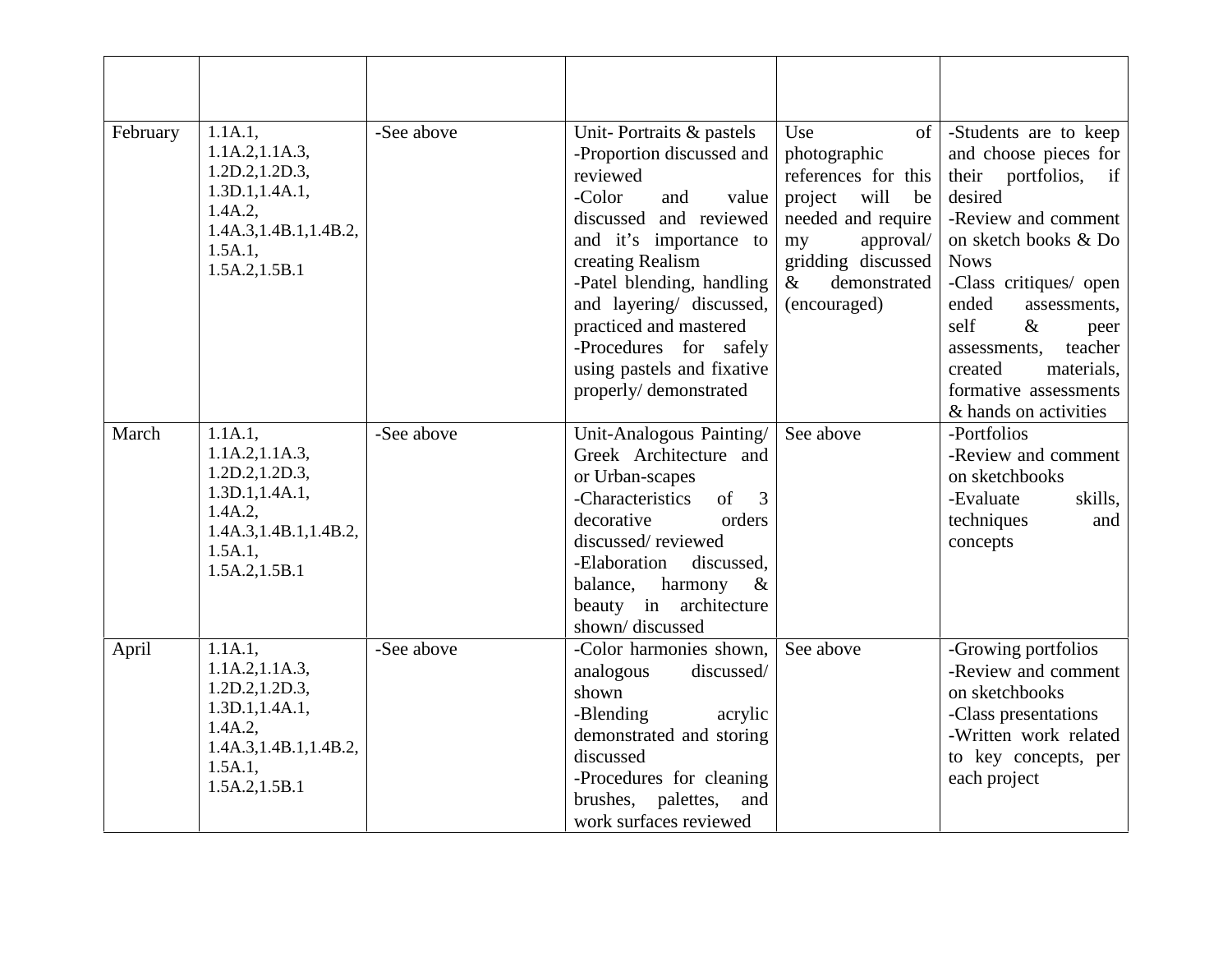| February | 1.1A.1,<br>1.1A.2, 1.1A.3,<br>1.2D.2, 1.2D.3,<br>1.3D.1, 1.4A.1,<br>1.4A.2,<br>1.4A.3, 1.4B.1, 1.4B.2,<br>$1.5A.1$ ,<br>1.5A.2, 1.5B.1 | -See above | Unit-Portraits & pastels<br>-Proportion discussed and<br>reviewed<br>-Color<br>and<br>value<br>discussed and reviewed<br>and it's importance to<br>creating Realism<br>-Patel blending, handling<br>and layering/ discussed,<br>practiced and mastered<br>-Procedures for safely<br>using pastels and fixative<br>properly/demonstrated | Use<br>of <sub>1</sub><br>photographic<br>references for this<br>will<br>project<br>be<br>needed and require<br>approval/<br>my<br>gridding discussed<br>$\&$<br>demonstrated<br>(encouraged) | -Students are to keep<br>and choose pieces for<br>their portfolios,<br>if<br>desired<br>-Review and comment<br>on sketch books & Do<br><b>Nows</b><br>-Class critiques/ open<br>ended<br>assessments,<br>self<br>$\&$<br>peer<br>teacher<br>assessments.<br>materials.<br>created<br>formative assessments<br>& hands on activities |
|----------|----------------------------------------------------------------------------------------------------------------------------------------|------------|-----------------------------------------------------------------------------------------------------------------------------------------------------------------------------------------------------------------------------------------------------------------------------------------------------------------------------------------|-----------------------------------------------------------------------------------------------------------------------------------------------------------------------------------------------|-------------------------------------------------------------------------------------------------------------------------------------------------------------------------------------------------------------------------------------------------------------------------------------------------------------------------------------|
| March    | 1.1A.1,<br>1.1A.2, 1.1A.3,<br>1.2D.2, 1.2D.3,<br>1.3D.1, 1.4A.1,<br>1.4A.2,<br>1.4A.3, 1.4B.1, 1.4B.2,<br>1.5A.1,<br>1.5A.2, 1.5B.1    | -See above | Unit-Analogous Painting/<br>Greek Architecture and<br>or Urban-scapes<br>$\sigma$<br>-Characteristics<br>3<br>decorative<br>orders<br>discussed/reviewed<br>-Elaboration<br>discussed.<br>harmony<br>balance,<br>$\&$<br>beauty in architecture<br>shown/discussed                                                                      | See above                                                                                                                                                                                     | -Portfolios<br>-Review and comment<br>on sketchbooks<br>-Evaluate<br>skills.<br>techniques<br>and<br>concepts                                                                                                                                                                                                                       |
| April    | 1.1A.1,<br>1.1A.2, 1.1A.3,<br>1.2D.2, 1.2D.3,<br>1.3D.1, 1.4A.1,<br>1.4A.2,<br>1.4A.3, 1.4B.1, 1.4B.2,<br>1.5A.1,<br>1.5A.2, 1.5B.1    | -See above | -Color harmonies shown,<br>analogous<br>discussed/<br>shown<br>-Blending<br>acrylic<br>demonstrated and storing<br>discussed<br>-Procedures for cleaning<br>brushes, palettes,<br>and<br>work surfaces reviewed                                                                                                                         | See above                                                                                                                                                                                     | -Growing portfolios<br>-Review and comment<br>on sketchbooks<br>-Class presentations<br>-Written work related<br>to key concepts, per<br>each project                                                                                                                                                                               |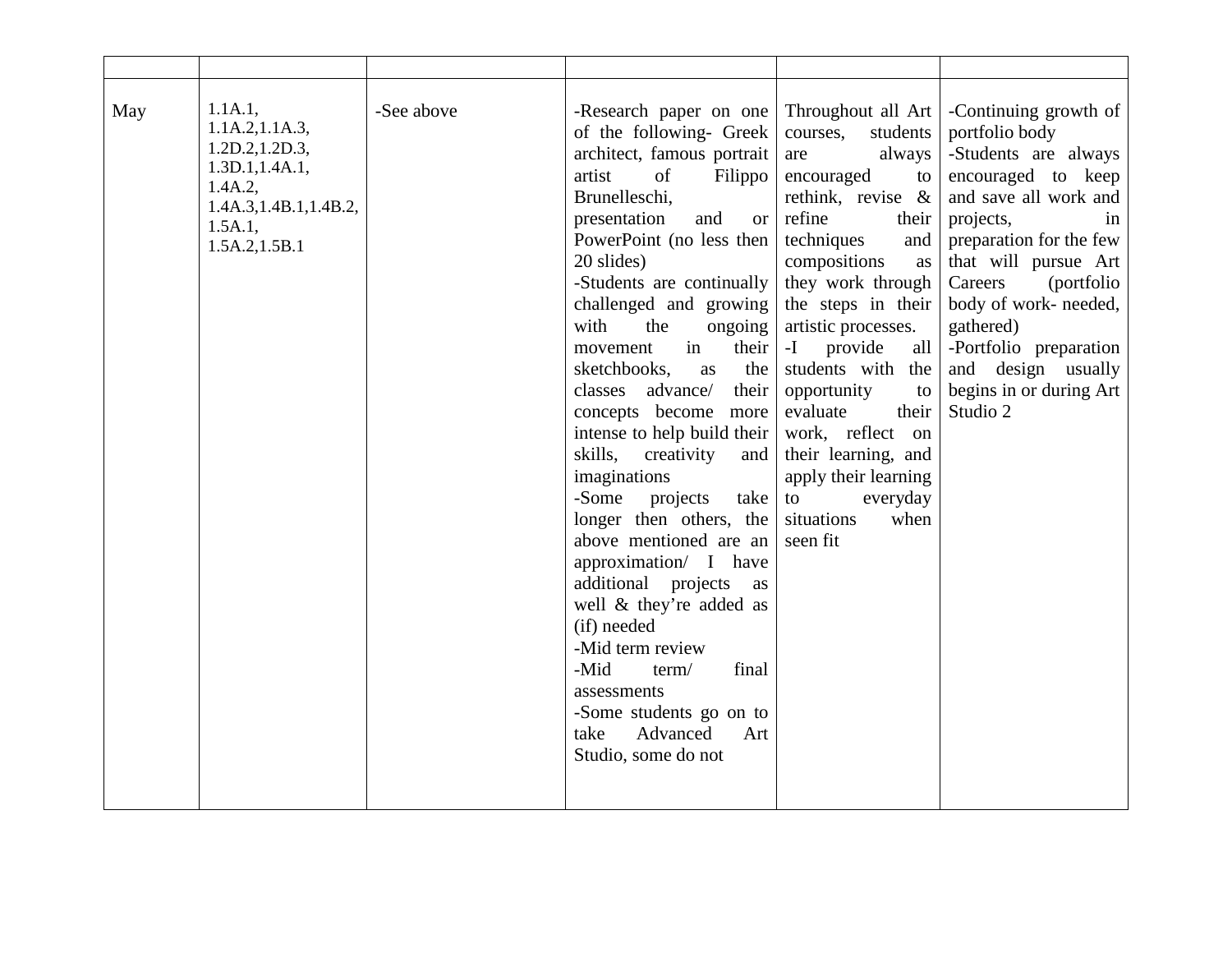| May | 1.1A.1,<br>1.1A.2, 1.1A.3,<br>1.2D.2, 1.2D.3,<br>1.3D.1, 1.4A.1,<br>1.4A.2,<br>1.4A.3, 1.4B.1, 1.4B.2,<br>1.5A.1,<br>1.5A.2, 1.5B.1 | -See above | -Research paper on one<br>of the following- Greek<br>architect, famous portrait<br>of<br>artist<br>Filippo<br>Brunelleschi,<br>and<br>presentation<br><b>or</b><br>PowerPoint (no less then<br>20 slides)<br>-Students are continually<br>challenged and growing<br>with<br>the<br>ongoing<br>in<br>their<br>movement<br>the<br>sketchbooks,<br>as<br>classes advance/<br>their<br>concepts become more<br>intense to help build their<br>skills,<br>creativity<br>and<br>imaginations<br>-Some projects<br>take<br>longer then others, the<br>above mentioned are an<br>approximation/ I have<br>additional projects<br>as<br>well & they're added as<br>(if) needed<br>-Mid term review<br>-Mid<br>term/<br>final<br>assessments<br>-Some students go on to<br>Advanced<br>take<br>Art<br>Studio, some do not | Throughout all Art<br>courses,<br>students<br>always<br>are<br>encouraged<br>to<br>rethink, revise $\&$<br>refine<br>their<br>techniques<br>and<br>compositions<br>as<br>they work through<br>the steps in their<br>artistic processes.<br>all<br>-I provide<br>students with the<br>opportunity<br>to<br>evaluate<br>their<br>work, reflect on<br>their learning, and<br>apply their learning<br>everyday<br>to<br>situations<br>when<br>seen fit | -Continuing growth of<br>portfolio body<br>-Students are always<br>encouraged to keep<br>and save all work and<br>projects,<br>in<br>preparation for the few<br>that will pursue Art<br>(portfolio)<br>Careers<br>body of work- needed,<br>gathered)<br>-Portfolio preparation<br>and design usually<br>begins in or during Art<br>Studio 2 |
|-----|-------------------------------------------------------------------------------------------------------------------------------------|------------|-----------------------------------------------------------------------------------------------------------------------------------------------------------------------------------------------------------------------------------------------------------------------------------------------------------------------------------------------------------------------------------------------------------------------------------------------------------------------------------------------------------------------------------------------------------------------------------------------------------------------------------------------------------------------------------------------------------------------------------------------------------------------------------------------------------------|----------------------------------------------------------------------------------------------------------------------------------------------------------------------------------------------------------------------------------------------------------------------------------------------------------------------------------------------------------------------------------------------------------------------------------------------------|---------------------------------------------------------------------------------------------------------------------------------------------------------------------------------------------------------------------------------------------------------------------------------------------------------------------------------------------|